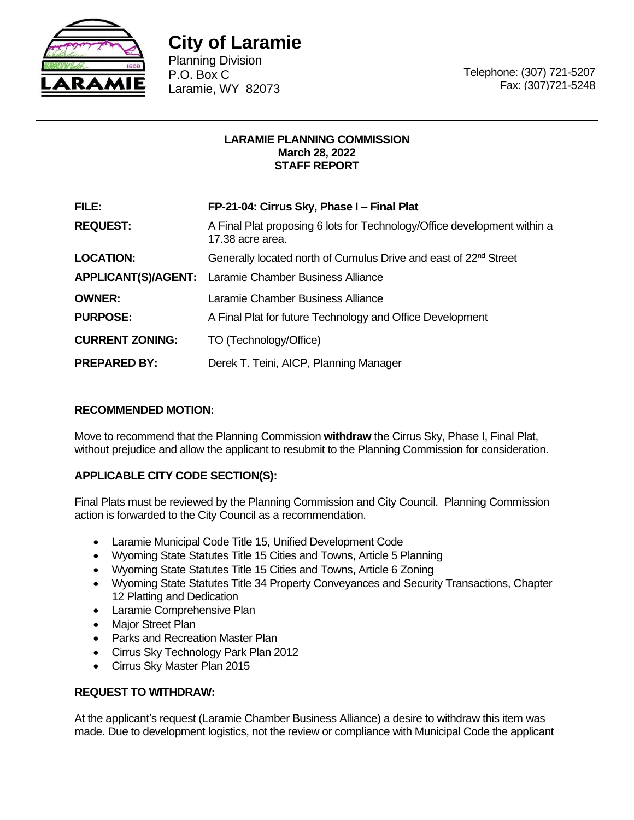

# **City of Laramie**

Planning Division P.O. Box C Laramie, WY 82073

Telephone: (307) 721-5207 Fax: (307)721-5248

## **LARAMIE PLANNING COMMISSION March 28, 2022 STAFF REPORT**

| FILE:                  | FP-21-04: Cirrus Sky, Phase I - Final Plat                                                   |
|------------------------|----------------------------------------------------------------------------------------------|
| <b>REQUEST:</b>        | A Final Plat proposing 6 lots for Technology/Office development within a<br>17.38 acre area. |
| <b>LOCATION:</b>       | Generally located north of Cumulus Drive and east of 22 <sup>nd</sup> Street                 |
|                        | <b>APPLICANT(S)/AGENT:</b> Laramie Chamber Business Alliance                                 |
| <b>OWNER:</b>          | Laramie Chamber Business Alliance                                                            |
| <b>PURPOSE:</b>        | A Final Plat for future Technology and Office Development                                    |
| <b>CURRENT ZONING:</b> | TO (Technology/Office)                                                                       |
| <b>PREPARED BY:</b>    | Derek T. Teini, AICP, Planning Manager                                                       |

# **RECOMMENDED MOTION:**

Move to recommend that the Planning Commission **withdraw** the Cirrus Sky, Phase I, Final Plat, without prejudice and allow the applicant to resubmit to the Planning Commission for consideration.

# **APPLICABLE CITY CODE SECTION(S):**

Final Plats must be reviewed by the Planning Commission and City Council. Planning Commission action is forwarded to the City Council as a recommendation.

- Laramie Municipal Code Title 15, Unified Development Code
- Wyoming State Statutes Title 15 Cities and Towns, Article 5 Planning
- Wyoming State Statutes Title 15 Cities and Towns, Article 6 Zoning
- Wyoming State Statutes Title 34 Property Conveyances and Security Transactions, Chapter 12 Platting and Dedication
- Laramie Comprehensive Plan
- Major Street Plan
- Parks and Recreation Master Plan
- Cirrus Sky Technology Park Plan 2012
- Cirrus Sky Master Plan 2015

## **REQUEST TO WITHDRAW:**

At the applicant's request (Laramie Chamber Business Alliance) a desire to withdraw this item was made. Due to development logistics, not the review or compliance with Municipal Code the applicant